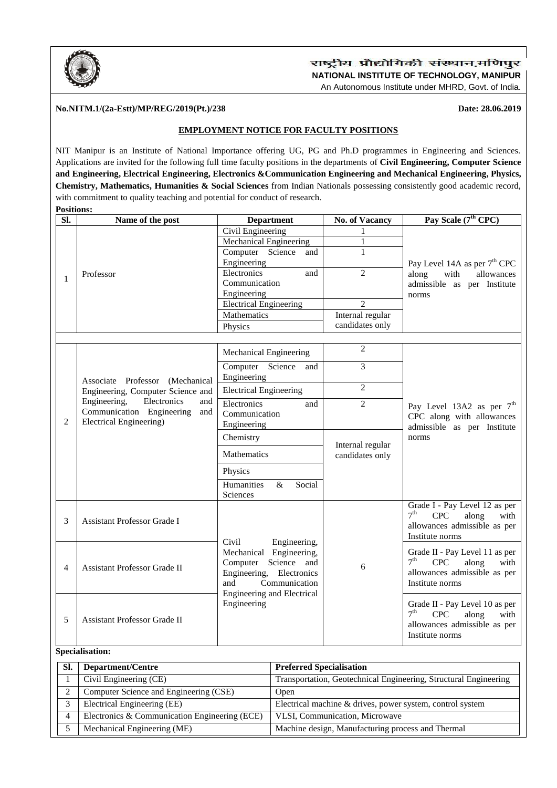

## राष्ट्रीय प्रौद्योगिकी संस्थान,मणिपुर **NATIONAL INSTITUTE OF TECHNOLOGY, MANIPUR** An Autonomous Institute under MHRD, Govt. of India.

#### **No.NITM.1/(2a-Estt)/MP/REG/2019(Pt.)/238 Date: 28.06.2019**

## **EMPLOYMENT NOTICE FOR FACULTY POSITIONS**

NIT Manipur is an Institute of National Importance offering UG, PG and Ph.D programmes in Engineering and Sciences. Applications are invited for the following full time faculty positions in the departments of **Civil Engineering, Computer Science and Engineering, Electrical Engineering, Electronics &Communication Engineering and Mechanical Engineering, Physics, Chemistry, Mathematics, Humanities & Social Sciences** from Indian Nationals possessing consistently good academic record, with commitment to quality teaching and potential for conduct of research. **Positions:** 

| SI.            | Name of the post                                                                                                                                                                  | <b>Department</b>                                | <b>No. of Vacancy</b>                        | Pay Scale (7 <sup>th</sup> CPC)                                                 |
|----------------|-----------------------------------------------------------------------------------------------------------------------------------------------------------------------------------|--------------------------------------------------|----------------------------------------------|---------------------------------------------------------------------------------|
|                | Professor                                                                                                                                                                         | Civil Engineering                                | 1                                            |                                                                                 |
| 1              |                                                                                                                                                                                   | <b>Mechanical Engineering</b>                    | 1                                            |                                                                                 |
|                |                                                                                                                                                                                   | Computer Science<br>and                          | 1                                            |                                                                                 |
|                |                                                                                                                                                                                   | Engineering                                      |                                              | Pay Level 14A as per 7 <sup>th</sup> CPC                                        |
|                |                                                                                                                                                                                   | Electronics<br>and                               | $\overline{2}$                               | along<br>with<br>allowances                                                     |
|                |                                                                                                                                                                                   | Communication                                    |                                              | admissible as per Institute                                                     |
|                |                                                                                                                                                                                   | Engineering                                      |                                              | norms                                                                           |
|                |                                                                                                                                                                                   | <b>Electrical Engineering</b>                    | $\overline{2}$                               |                                                                                 |
|                |                                                                                                                                                                                   | Mathematics                                      | Internal regular                             |                                                                                 |
|                |                                                                                                                                                                                   | Physics                                          | candidates only                              |                                                                                 |
|                |                                                                                                                                                                                   |                                                  |                                              |                                                                                 |
|                | Associate Professor (Mechanical<br>Engineering, Computer Science and<br>Engineering,<br>Electronics<br>and<br>Communication Engineering<br>and<br><b>Electrical Engineering</b> ) | Mechanical Engineering                           | $\mathbf{2}$                                 |                                                                                 |
|                |                                                                                                                                                                                   | Computer Science<br>and<br>Engineering           | 3                                            |                                                                                 |
|                |                                                                                                                                                                                   |                                                  | $\overline{2}$                               |                                                                                 |
|                |                                                                                                                                                                                   | <b>Electrical Engineering</b>                    |                                              |                                                                                 |
|                |                                                                                                                                                                                   | Electronics<br>and                               | $\overline{2}$                               | Pay Level 13A2 as per $7th$                                                     |
| $\overline{2}$ |                                                                                                                                                                                   | Communication                                    |                                              | CPC along with allowances<br>admissible as per Institute                        |
|                |                                                                                                                                                                                   | Engineering                                      |                                              |                                                                                 |
|                |                                                                                                                                                                                   | Chemistry                                        | norms<br>Internal regular<br>candidates only |                                                                                 |
|                |                                                                                                                                                                                   | <b>Mathematics</b>                               |                                              |                                                                                 |
|                |                                                                                                                                                                                   | Physics                                          |                                              |                                                                                 |
|                |                                                                                                                                                                                   | Humanities<br>Social<br>&                        |                                              |                                                                                 |
|                |                                                                                                                                                                                   | Sciences                                         |                                              |                                                                                 |
| 3              | <b>Assistant Professor Grade I</b>                                                                                                                                                |                                                  | 6                                            | Grade I - Pay Level 12 as per<br>7 <sup>th</sup><br><b>CPC</b><br>along<br>with |
|                |                                                                                                                                                                                   |                                                  |                                              | allowances admissible as per                                                    |
|                |                                                                                                                                                                                   |                                                  |                                              | Institute norms                                                                 |
|                |                                                                                                                                                                                   | Civil<br>Engineering,                            |                                              |                                                                                 |
|                | Assistant Professor Grade II                                                                                                                                                      | Mechanical Engineering,                          |                                              | Grade II - Pay Level 11 as per<br>7 <sup>th</sup>                               |
| 4              |                                                                                                                                                                                   | Computer Science and                             |                                              | <b>CPC</b><br>along<br>with                                                     |
|                |                                                                                                                                                                                   | Engineering, Electronics<br>Communication<br>and |                                              | allowances admissible as per<br>Institute norms                                 |
|                |                                                                                                                                                                                   | <b>Engineering and Electrical</b>                |                                              |                                                                                 |
| 5              | <b>Assistant Professor Grade II</b>                                                                                                                                               | Engineering                                      |                                              | Grade II - Pay Level 10 as per                                                  |
|                |                                                                                                                                                                                   |                                                  |                                              | 7 <sup>th</sup><br>CPC<br>along<br>with                                         |
|                |                                                                                                                                                                                   |                                                  |                                              | allowances admissible as per                                                    |
|                |                                                                                                                                                                                   |                                                  |                                              | Institute norms                                                                 |
|                |                                                                                                                                                                                   |                                                  |                                              |                                                                                 |

#### **Specialisation:**

| SI. | Department/Centre                             | <b>Preferred Specialisation</b>                                  |
|-----|-----------------------------------------------|------------------------------------------------------------------|
|     | Civil Engineering (CE)                        | Transportation, Geotechnical Engineering, Structural Engineering |
|     | Computer Science and Engineering (CSE)        | Open                                                             |
|     | Electrical Engineering (EE)                   | Electrical machine & drives, power system, control system        |
| 4   | Electronics & Communication Engineering (ECE) | VLSI, Communication, Microwave                                   |
|     | Mechanical Engineering (ME)                   | Machine design, Manufacturing process and Thermal                |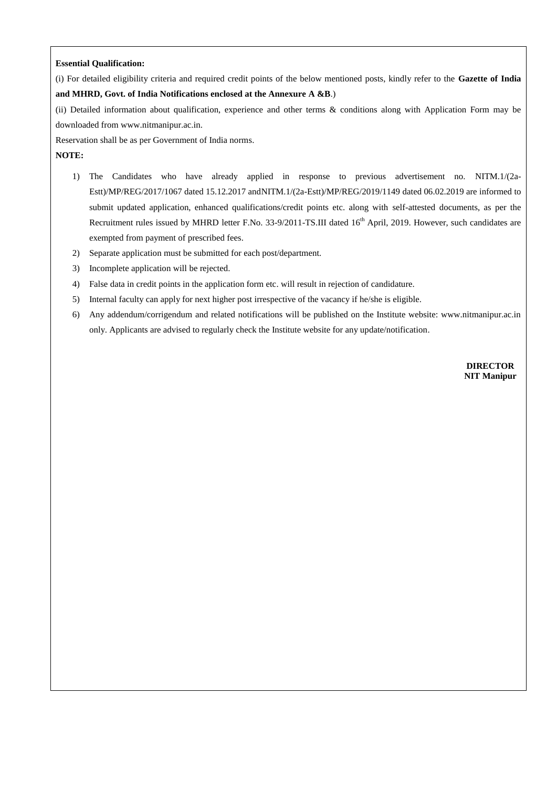#### **Essential Qualification:**

(i) For detailed eligibility criteria and required credit points of the below mentioned posts, kindly refer to the **Gazette of India and MHRD, Govt. of India Notifications enclosed at the Annexure A &B**.)

(ii) Detailed information about qualification, experience and other terms & conditions along with Application Form may be downloaded from www.nitmanipur.ac.in.

Reservation shall be as per Government of India norms.

**NOTE:**

- 1) The Candidates who have already applied in response to previous advertisement no. NITM.1/(2a-Estt)/MP/REG/2017/1067 dated 15.12.2017 andNITM.1/(2a-Estt)/MP/REG/2019/1149 dated 06.02.2019 are informed to submit updated application, enhanced qualifications/credit points etc. along with self-attested documents, as per the Recruitment rules issued by MHRD letter F.No. 33-9/2011-TS.III dated 16<sup>th</sup> April, 2019. However, such candidates are exempted from payment of prescribed fees.
- 2) Separate application must be submitted for each post/department.
- 3) Incomplete application will be rejected.
- 4) False data in credit points in the application form etc. will result in rejection of candidature.
- 5) Internal faculty can apply for next higher post irrespective of the vacancy if he/she is eligible.
- 6) Any addendum/corrigendum and related notifications will be published on the Institute website: www.nitmanipur.ac.in only. Applicants are advised to regularly check the Institute website for any update/notification.

**DIRECTOR NIT Manipur**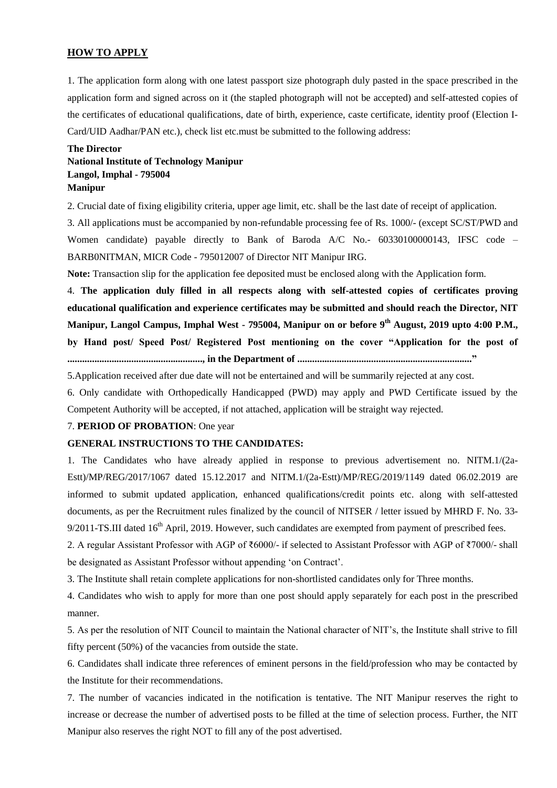#### **HOW TO APPLY**

1. The application form along with one latest passport size photograph duly pasted in the space prescribed in the application form and signed across on it (the stapled photograph will not be accepted) and self-attested copies of the certificates of educational qualifications, date of birth, experience, caste certificate, identity proof (Election I-Card/UID Aadhar/PAN etc.), check list etc.must be submitted to the following address:

## **The Director National Institute of Technology Manipur Langol, Imphal - 795004 Manipur**

2. Crucial date of fixing eligibility criteria, upper age limit, etc. shall be the last date of receipt of application.

3. All applications must be accompanied by non-refundable processing fee of Rs. 1000/- (except SC/ST/PWD and Women candidate) payable directly to Bank of Baroda A/C No.- 60330100000143, IFSC code – BARB0NITMAN, MICR Code - 795012007 of Director NIT Manipur IRG.

**Note:** Transaction slip for the application fee deposited must be enclosed along with the Application form.

4. **The application duly filled in all respects along with self-attested copies of certificates proving educational qualification and experience certificates may be submitted and should reach the Director, NIT Manipur, Langol Campus, Imphal West - 795004, Manipur on or before 9 th August, 2019 upto 4:00 P.M., by Hand post/ Speed Post/ Registered Post mentioning on the cover "Application for the post of ......................................................., in the Department of ......................................................................."**

5.Application received after due date will not be entertained and will be summarily rejected at any cost.

6. Only candidate with Orthopedically Handicapped (PWD) may apply and PWD Certificate issued by the Competent Authority will be accepted, if not attached, application will be straight way rejected.

## 7. **PERIOD OF PROBATION**: One year

## **GENERAL INSTRUCTIONS TO THE CANDIDATES:**

1. The Candidates who have already applied in response to previous advertisement no. NITM.1/(2a-Estt)/MP/REG/2017/1067 dated 15.12.2017 and NITM.1/(2a-Estt)/MP/REG/2019/1149 dated 06.02.2019 are informed to submit updated application, enhanced qualifications/credit points etc. along with self-attested documents, as per the Recruitment rules finalized by the council of NITSER / letter issued by MHRD F. No. 33-  $9/2011$ -TS.III dated  $16<sup>th</sup>$  April, 2019. However, such candidates are exempted from payment of prescribed fees.

2. A regular Assistant Professor with AGP of ₹6000/- if selected to Assistant Professor with AGP of ₹7000/- shall be designated as Assistant Professor without appending 'on Contract'.

3. The Institute shall retain complete applications for non-shortlisted candidates only for Three months.

4. Candidates who wish to apply for more than one post should apply separately for each post in the prescribed manner.

5. As per the resolution of NIT Council to maintain the National character of NIT's, the Institute shall strive to fill fifty percent (50%) of the vacancies from outside the state.

6. Candidates shall indicate three references of eminent persons in the field/profession who may be contacted by the Institute for their recommendations.

7. The number of vacancies indicated in the notification is tentative. The NIT Manipur reserves the right to increase or decrease the number of advertised posts to be filled at the time of selection process. Further, the NIT Manipur also reserves the right NOT to fill any of the post advertised.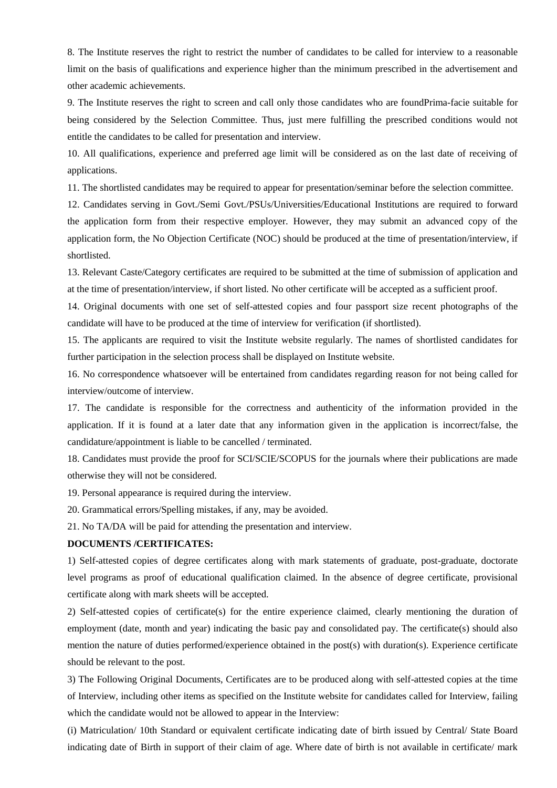8. The Institute reserves the right to restrict the number of candidates to be called for interview to a reasonable limit on the basis of qualifications and experience higher than the minimum prescribed in the advertisement and other academic achievements.

9. The Institute reserves the right to screen and call only those candidates who are foundPrima-facie suitable for being considered by the Selection Committee. Thus, just mere fulfilling the prescribed conditions would not entitle the candidates to be called for presentation and interview.

10. All qualifications, experience and preferred age limit will be considered as on the last date of receiving of applications.

11. The shortlisted candidates may be required to appear for presentation/seminar before the selection committee.

12. Candidates serving in Govt./Semi Govt./PSUs/Universities/Educational Institutions are required to forward the application form from their respective employer. However, they may submit an advanced copy of the application form, the No Objection Certificate (NOC) should be produced at the time of presentation/interview, if shortlisted.

13. Relevant Caste/Category certificates are required to be submitted at the time of submission of application and at the time of presentation/interview, if short listed. No other certificate will be accepted as a sufficient proof.

14. Original documents with one set of self-attested copies and four passport size recent photographs of the candidate will have to be produced at the time of interview for verification (if shortlisted).

15. The applicants are required to visit the Institute website regularly. The names of shortlisted candidates for further participation in the selection process shall be displayed on Institute website.

16. No correspondence whatsoever will be entertained from candidates regarding reason for not being called for interview/outcome of interview.

17. The candidate is responsible for the correctness and authenticity of the information provided in the application. If it is found at a later date that any information given in the application is incorrect/false, the candidature/appointment is liable to be cancelled / terminated.

18. Candidates must provide the proof for SCI/SCIE/SCOPUS for the journals where their publications are made otherwise they will not be considered.

19. Personal appearance is required during the interview.

20. Grammatical errors/Spelling mistakes, if any, may be avoided.

21. No TA/DA will be paid for attending the presentation and interview.

#### **DOCUMENTS /CERTIFICATES:**

1) Self-attested copies of degree certificates along with mark statements of graduate, post-graduate, doctorate level programs as proof of educational qualification claimed. In the absence of degree certificate, provisional certificate along with mark sheets will be accepted.

2) Self-attested copies of certificate(s) for the entire experience claimed, clearly mentioning the duration of employment (date, month and year) indicating the basic pay and consolidated pay. The certificate(s) should also mention the nature of duties performed/experience obtained in the post(s) with duration(s). Experience certificate should be relevant to the post.

3) The Following Original Documents, Certificates are to be produced along with self-attested copies at the time of Interview, including other items as specified on the Institute website for candidates called for Interview, failing which the candidate would not be allowed to appear in the Interview:

(i) Matriculation/ 10th Standard or equivalent certificate indicating date of birth issued by Central/ State Board indicating date of Birth in support of their claim of age. Where date of birth is not available in certificate/ mark